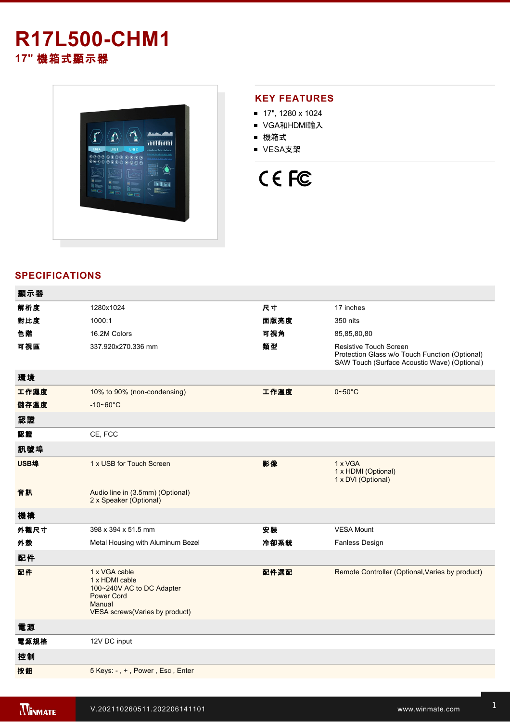# **R17L500-CHM1 17"** 機箱式顯示器



## **KEY FEATURES**

- 17", 1280 x 1024
- VGA和HDMI輸入
- 機箱式
- VESA支架

# CE FC

# **SPECIFICATIONS**

| 顯示器  |                                                                                                                               |      |                                                                                                                          |
|------|-------------------------------------------------------------------------------------------------------------------------------|------|--------------------------------------------------------------------------------------------------------------------------|
| 解析度  | 1280x1024                                                                                                                     | 尺寸   | 17 inches                                                                                                                |
| 對比度  | 1000:1                                                                                                                        | 面版亮度 | 350 nits                                                                                                                 |
| 色階   | 16.2M Colors                                                                                                                  | 可視角  | 85,85,80,80                                                                                                              |
| 可視區  | 337.920x270.336 mm                                                                                                            | 類型   | Resistive Touch Screen<br>Protection Glass w/o Touch Function (Optional)<br>SAW Touch (Surface Acoustic Wave) (Optional) |
| 環境   |                                                                                                                               |      |                                                                                                                          |
| 工作濕度 | 10% to 90% (non-condensing)                                                                                                   | 工作溫度 | $0 - 50$ °C                                                                                                              |
| 儲存溫度 | $-10 - 60^{\circ}$ C                                                                                                          |      |                                                                                                                          |
| 認證   |                                                                                                                               |      |                                                                                                                          |
| 認證   | CE, FCC                                                                                                                       |      |                                                                                                                          |
| 訊號埠  |                                                                                                                               |      |                                                                                                                          |
| USB埠 | 1 x USB for Touch Screen                                                                                                      | 影像   | 1 x VGA<br>1 x HDMI (Optional)<br>1 x DVI (Optional)                                                                     |
| 音訊   | Audio line in (3.5mm) (Optional)<br>2 x Speaker (Optional)                                                                    |      |                                                                                                                          |
| 機構   |                                                                                                                               |      |                                                                                                                          |
| 外觀尺寸 | 398 x 394 x 51.5 mm                                                                                                           | 安裝   | <b>VESA Mount</b>                                                                                                        |
| 外殼   | Metal Housing with Aluminum Bezel                                                                                             | 冷卻系統 | Fanless Design                                                                                                           |
| 配件   |                                                                                                                               |      |                                                                                                                          |
| 配件   | 1 x VGA cable<br>1 x HDMI cable<br>100~240V AC to DC Adapter<br><b>Power Cord</b><br>Manual<br>VESA screws(Varies by product) | 配件選配 | Remote Controller (Optional, Varies by product)                                                                          |
| 電源   |                                                                                                                               |      |                                                                                                                          |
| 電源規格 | 12V DC input                                                                                                                  |      |                                                                                                                          |
| 控制   |                                                                                                                               |      |                                                                                                                          |
| 按鈕   | 5 Keys: -, +, Power, Esc, Enter                                                                                               |      |                                                                                                                          |
|      |                                                                                                                               |      |                                                                                                                          |